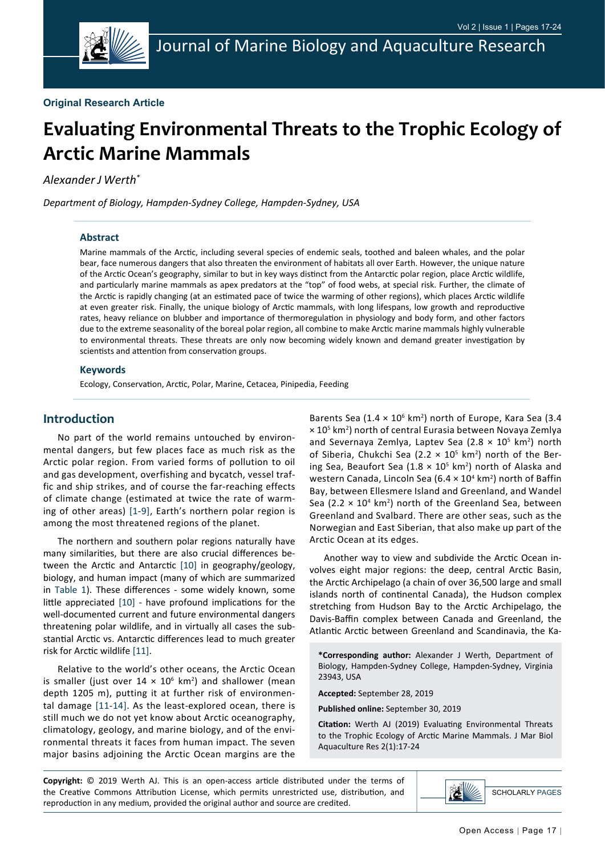

# **Evaluating Environmental Threats to the Trophic Ecology of Arctic Marine Mammals**

*Alexander J Werth\**

*Department of Biology, Hampden-Sydney College, Hampden-Sydney, USA*

## **Abstract**

Marine mammals of the Arctic, including several species of endemic seals, toothed and baleen whales, and the polar bear, face numerous dangers that also threaten the environment of habitats all over Earth. However, the unique nature of the Arctic Ocean's geography, similar to but in key ways distinct from the Antarctic polar region, place Arctic wildlife, and particularly marine mammals as apex predators at the "top" of food webs, at special risk. Further, the climate of the Arctic is rapidly changing (at an estimated pace of twice the warming of other regions), which places Arctic wildlife at even greater risk. Finally, the unique biology of Arctic mammals, with long lifespans, low growth and reproductive rates, heavy reliance on blubber and importance of thermoregulation in physiology and body form, and other factors due to the extreme seasonality of the boreal polar region, all combine to make Arctic marine mammals highly vulnerable to environmental threats. These threats are only now becoming widely known and demand greater investigation by scientists and attention from conservation groups.

#### **Keywords**

Ecology, Conservation, Arctic, Polar, Marine, Cetacea, Pinipedia, Feeding

# **Introduction**

No part of the world remains untouched by environmental dangers, but few places face as much risk as the Arctic polar region. From varied forms of pollution to oil and gas development, overfishing and bycatch, vessel traffic and ship strikes, and of course the far-reaching effects of climate change (estimated at twice the rate of warming of other areas) [[1-](#page-6-0)[9](#page-6-1)], Earth's northern polar region is among the most threatened regions of the planet.

The northern and southern polar regions naturally have many similarities, but there are also crucial differences between the Arctic and Antarctic [[10\]](#page-6-2) in geography/geology, biology, and human impact (many of which are summarized in [Table 1](#page-1-0)). These differences - some widely known, some little appreciated [[10](#page-6-2)] - have profound implications for the well-documented current and future environmental dangers threatening polar wildlife, and in virtually all cases the substantial Arctic vs. Antarctic differences lead to much greater risk for Arctic wildlife [[11\]](#page-6-3).

Relative to the world's other oceans, the Arctic Ocean is smaller (just over  $14 \times 10^6$  km<sup>2</sup>) and shallower (mean depth 1205 m), putting it at further risk of environmental damage [\[11-](#page-6-3)[14\]](#page-6-4). As the least-explored ocean, there is still much we do not yet know about Arctic oceanography, climatology, geology, and marine biology, and of the environmental threats it faces from human impact. The seven major basins adjoining the Arctic Ocean margins are the

Barents Sea (1.4  $\times$  10<sup>6</sup> km<sup>2</sup>) north of Europe, Kara Sea (3.4  $\times$  10<sup>5</sup> km<sup>2</sup>) north of central Eurasia between Novaya Zemlya and Severnaya Zemlya, Laptev Sea (2.8  $\times$  10<sup>5</sup> km<sup>2</sup>) north of Siberia, Chukchi Sea (2.2  $\times$  10<sup>5</sup> km<sup>2</sup>) north of the Bering Sea, Beaufort Sea (1.8  $\times$  10<sup>5</sup> km<sup>2</sup>) north of Alaska and western Canada, Lincoln Sea (6.4  $\times$  10<sup>4</sup> km<sup>2</sup>) north of Baffin Bay, between Ellesmere Island and Greenland, and Wandel Sea (2.2  $\times$  10<sup>4</sup> km<sup>2</sup>) north of the Greenland Sea, between Greenland and Svalbard. There are other seas, such as the Norwegian and East Siberian, that also make up part of the Arctic Ocean at its edges.

Another way to view and subdivide the Arctic Ocean involves eight major regions: the deep, central Arctic Basin, the Arctic Archipelago (a chain of over 36,500 large and small islands north of continental Canada), the Hudson complex stretching from Hudson Bay to the Arctic Archipelago, the Davis-Baffin complex between Canada and Greenland, the Atlantic Arctic between Greenland and Scandinavia, the Ka-

**\*Corresponding author:** Alexander J Werth, Department of Biology, Hampden-Sydney College, Hampden-Sydney, Virginia 23943, USA

**Accepted:** September 28, 2019

**Published online:** September 30, 2019

**Citation:** Werth AJ (2019) Evaluating Environmental Threats to the Trophic Ecology of Arctic Marine Mammals. J Mar Biol Aquaculture Res 2(1):17-24

**Copyright:** © 2019 Werth AJ. This is an open-access article distributed under the terms of the Creative Commons Attribution License, which permits unrestricted use, distribution, and reproduction in any medium, provided the original author and source are credited.

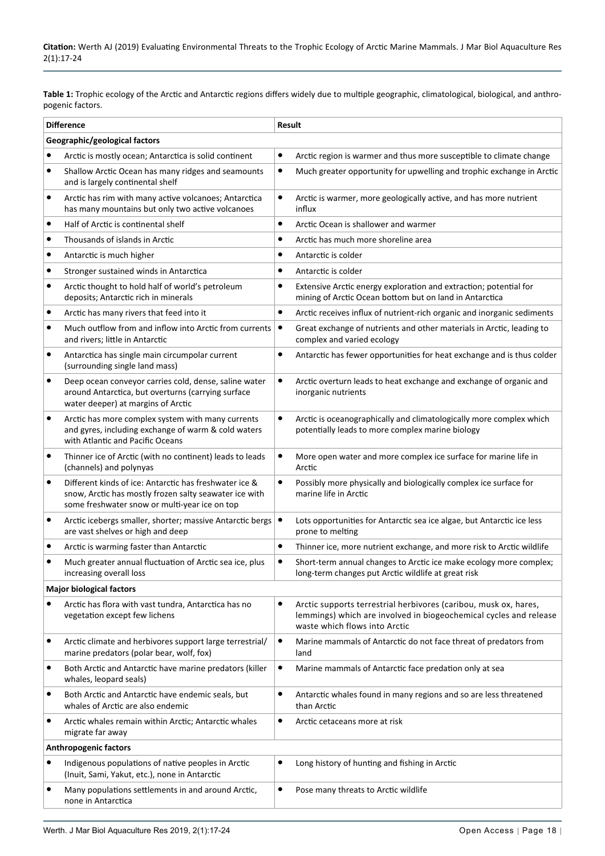<span id="page-1-0"></span>**Table 1:** Trophic ecology of the Arctic and Antarctic regions differs widely due to multiple geographic, climatological, biological, and anthropogenic factors.

| <b>Difference</b>             |                                                                                                                                                                   | Result    |                                                                                                                                                                        |  |
|-------------------------------|-------------------------------------------------------------------------------------------------------------------------------------------------------------------|-----------|------------------------------------------------------------------------------------------------------------------------------------------------------------------------|--|
| Geographic/geological factors |                                                                                                                                                                   |           |                                                                                                                                                                        |  |
| ٠                             | Arctic is mostly ocean; Antarctica is solid continent                                                                                                             | $\bullet$ | Arctic region is warmer and thus more susceptible to climate change                                                                                                    |  |
| $\bullet$                     | Shallow Arctic Ocean has many ridges and seamounts<br>and is largely continental shelf                                                                            | ٠         | Much greater opportunity for upwelling and trophic exchange in Arctic                                                                                                  |  |
| $\bullet$                     | Arctic has rim with many active volcanoes; Antarctica<br>has many mountains but only two active volcanoes                                                         | $\bullet$ | Arctic is warmer, more geologically active, and has more nutrient<br>influx                                                                                            |  |
| $\bullet$                     | Half of Arctic is continental shelf                                                                                                                               | $\bullet$ | Arctic Ocean is shallower and warmer                                                                                                                                   |  |
| ٠                             | Thousands of islands in Arctic                                                                                                                                    | ٠         | Arctic has much more shoreline area                                                                                                                                    |  |
| ٠                             | Antarctic is much higher                                                                                                                                          | ٠         | Antarctic is colder                                                                                                                                                    |  |
| ٠                             | Stronger sustained winds in Antarctica                                                                                                                            | ٠         | Antarctic is colder                                                                                                                                                    |  |
| ٠                             | Arctic thought to hold half of world's petroleum<br>deposits; Antarctic rich in minerals                                                                          | ٠         | Extensive Arctic energy exploration and extraction; potential for<br>mining of Arctic Ocean bottom but on land in Antarctica                                           |  |
| ٠                             | Arctic has many rivers that feed into it                                                                                                                          | ٠         | Arctic receives influx of nutrient-rich organic and inorganic sediments                                                                                                |  |
| $\bullet$                     | Much outflow from and inflow into Arctic from currents<br>and rivers; little in Antarctic                                                                         | $\bullet$ | Great exchange of nutrients and other materials in Arctic, leading to<br>complex and varied ecology                                                                    |  |
| ٠                             | Antarctica has single main circumpolar current<br>(surrounding single land mass)                                                                                  | $\bullet$ | Antarctic has fewer opportunities for heat exchange and is thus colder                                                                                                 |  |
| $\bullet$                     | Deep ocean conveyor carries cold, dense, saline water<br>around Antarctica, but overturns (carrying surface<br>water deeper) at margins of Arctic                 | $\bullet$ | Arctic overturn leads to heat exchange and exchange of organic and<br>inorganic nutrients                                                                              |  |
| $\bullet$                     | Arctic has more complex system with many currents<br>and gyres, including exchange of warm & cold waters<br>with Atlantic and Pacific Oceans                      | $\bullet$ | Arctic is oceanographically and climatologically more complex which<br>potentially leads to more complex marine biology                                                |  |
| ٠                             | Thinner ice of Arctic (with no continent) leads to leads<br>(channels) and polynyas                                                                               | ٠         | More open water and more complex ice surface for marine life in<br>Arctic                                                                                              |  |
| $\bullet$                     | Different kinds of ice: Antarctic has freshwater ice &<br>snow, Arctic has mostly frozen salty seawater ice with<br>some freshwater snow or multi-year ice on top | ٠         | Possibly more physically and biologically complex ice surface for<br>marine life in Arctic                                                                             |  |
| ٠                             | Arctic icebergs smaller, shorter; massive Antarctic bergs   ●<br>are vast shelves or high and deep                                                                |           | Lots opportunities for Antarctic sea ice algae, but Antarctic ice less<br>prone to melting                                                                             |  |
| ٠                             | Arctic is warming faster than Antarctic                                                                                                                           | $\bullet$ | Thinner ice, more nutrient exchange, and more risk to Arctic wildlife                                                                                                  |  |
| ٠                             | Much greater annual fluctuation of Arctic sea ice, plus<br>increasing overall loss                                                                                | ٠         | Short-term annual changes to Arctic ice make ecology more complex;<br>long-term changes put Arctic wildlife at great risk                                              |  |
|                               | <b>Major biological factors</b>                                                                                                                                   |           |                                                                                                                                                                        |  |
|                               | Arctic has flora with vast tundra, Antarctica has no<br>vegetation except few lichens                                                                             | ٠         | Arctic supports terrestrial herbivores (caribou, musk ox, hares,<br>lemmings) which are involved in biogeochemical cycles and release<br>waste which flows into Arctic |  |
| ٠                             | Arctic climate and herbivores support large terrestrial/<br>marine predators (polar bear, wolf, fox)                                                              | ٠         | Marine mammals of Antarctic do not face threat of predators from<br>land                                                                                               |  |
| $\bullet$                     | Both Arctic and Antarctic have marine predators (killer<br>whales, leopard seals)                                                                                 | $\bullet$ | Marine mammals of Antarctic face predation only at sea                                                                                                                 |  |
| ٠                             | Both Arctic and Antarctic have endemic seals, but<br>whales of Arctic are also endemic                                                                            | ٠         | Antarctic whales found in many regions and so are less threatened<br>than Arctic                                                                                       |  |
|                               | Arctic whales remain within Arctic; Antarctic whales<br>migrate far away                                                                                          | ٠         | Arctic cetaceans more at risk                                                                                                                                          |  |
| <b>Anthropogenic factors</b>  |                                                                                                                                                                   |           |                                                                                                                                                                        |  |
|                               | Indigenous populations of native peoples in Arctic<br>(Inuit, Sami, Yakut, etc.), none in Antarctic                                                               | $\bullet$ | Long history of hunting and fishing in Arctic                                                                                                                          |  |
| ٠                             | Many populations settlements in and around Arctic,<br>none in Antarctica                                                                                          | ٠         | Pose many threats to Arctic wildlife                                                                                                                                   |  |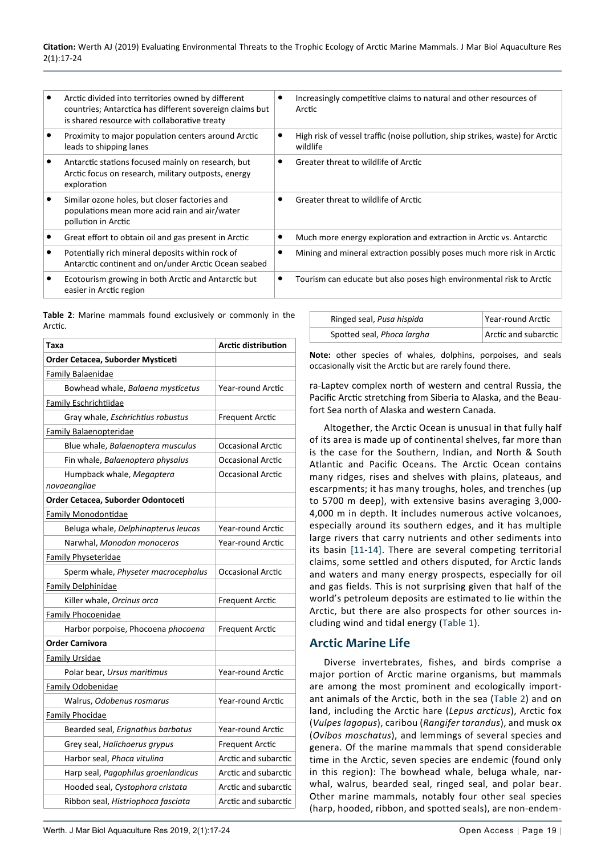| Arctic divided into territories owned by different<br>countries; Antarctica has different sovereign claims but<br>is shared resource with collaborative treaty | Increasingly competitive claims to natural and other resources of<br>Arctic               |
|----------------------------------------------------------------------------------------------------------------------------------------------------------------|-------------------------------------------------------------------------------------------|
| Proximity to major population centers around Arctic<br>leads to shipping lanes                                                                                 | High risk of vessel traffic (noise pollution, ship strikes, waste) for Arctic<br>wildlife |
| Antarctic stations focused mainly on research, but<br>Arctic focus on research, military outposts, energy<br>exploration                                       | Greater threat to wildlife of Arctic                                                      |
| Similar ozone holes, but closer factories and<br>populations mean more acid rain and air/water<br>pollution in Arctic                                          | Greater threat to wildlife of Arctic                                                      |
| Great effort to obtain oil and gas present in Arctic                                                                                                           | Much more energy exploration and extraction in Arctic vs. Antarctic                       |
| Potentially rich mineral deposits within rock of<br>Antarctic continent and on/under Arctic Ocean seabed                                                       | Mining and mineral extraction possibly poses much more risk in Arctic                     |
| Ecotourism growing in both Arctic and Antarctic but<br>easier in Arctic region                                                                                 | Tourism can educate but also poses high environmental risk to Arctic                      |
|                                                                                                                                                                |                                                                                           |

<span id="page-2-0"></span>**Table 2**: Marine mammals found exclusively or commonly in the Arctic.

| Taxa                                      | <b>Arctic distribution</b> |  |  |
|-------------------------------------------|----------------------------|--|--|
| Order Cetacea, Suborder Mysticeti         |                            |  |  |
| Family Balaenidae                         |                            |  |  |
| Bowhead whale, Balaena mysticetus         | Year-round Arctic          |  |  |
| <b>Family Eschrichtiidae</b>              |                            |  |  |
| Gray whale, Eschrichtius robustus         | <b>Frequent Arctic</b>     |  |  |
| Family Balaenopteridae                    |                            |  |  |
| Blue whale, Balaenoptera musculus         | <b>Occasional Arctic</b>   |  |  |
| Fin whale, Balaenoptera physalus          | <b>Occasional Arctic</b>   |  |  |
| Humpback whale, Megaptera<br>novaeangliae | Occasional Arctic          |  |  |
| Order Cetacea, Suborder Odontoceti        |                            |  |  |
| <b>Family Monodontidae</b>                |                            |  |  |
| Beluga whale, Delphinapterus leucas       | Year-round Arctic          |  |  |
| Narwhal, Monodon monoceros                | Year-round Arctic          |  |  |
| <b>Family Physeteridae</b>                |                            |  |  |
| Sperm whale, Physeter macrocephalus       | <b>Occasional Arctic</b>   |  |  |
| <b>Family Delphinidae</b>                 |                            |  |  |
| Killer whale, Orcinus orca                | Frequent Arctic            |  |  |
| <b>Family Phocoenidae</b>                 |                            |  |  |
| Harbor porpoise, Phocoena phocoena        | Frequent Arctic            |  |  |
| <b>Order Carnivora</b>                    |                            |  |  |
| Family Ursidae                            |                            |  |  |
| Polar bear, Ursus maritimus               | Year-round Arctic          |  |  |
| <b>Family Odobenidae</b>                  |                            |  |  |
| Walrus, Odobenus rosmarus                 | Year-round Arctic          |  |  |
| <b>Family Phocidae</b>                    |                            |  |  |
| Bearded seal, Erignathus barbatus         | Year-round Arctic          |  |  |
| Grey seal, Halichoerus grypus             | <b>Frequent Arctic</b>     |  |  |
| Harbor seal, Phoca vitulina               | Arctic and subarctic       |  |  |
| Harp seal, Pagophilus groenlandicus       | Arctic and subarctic       |  |  |
| Hooded seal, Cystophora cristata          | Arctic and subarctic       |  |  |
| Ribbon seal, Histriophoca fasciata        | Arctic and subarctic       |  |  |

| Ringed seal, Pusa hispida  | Year-round Arctic    |
|----------------------------|----------------------|
| Spotted seal, Phoca largha | Arctic and subarctic |

**Note:** other species of whales, dolphins, porpoises, and seals occasionally visit the Arctic but are rarely found there.

ra-Laptev complex north of western and central Russia, the Pacific Arctic stretching from Siberia to Alaska, and the Beaufort Sea north of Alaska and western Canada.

Altogether, the Arctic Ocean is unusual in that fully half of its area is made up of continental shelves, far more than is the case for the Southern, Indian, and North & South Atlantic and Pacific Oceans. The Arctic Ocean contains many ridges, rises and shelves with plains, plateaus, and escarpments; it has many troughs, holes, and trenches (up to 5700 m deep), with extensive basins averaging 3,000- 4,000 m in depth. It includes numerous active volcanoes, especially around its southern edges, and it has multiple large rivers that carry nutrients and other sediments into its basin [\[11-](#page-6-3)[14\]](#page-6-4). There are several competing territorial claims, some settled and others disputed, for Arctic lands and waters and many energy prospects, especially for oil and gas fields. This is not surprising given that half of the world's petroleum deposits are estimated to lie within the Arctic, but there are also prospects for other sources including wind and tidal energy ([Table 1\)](#page-1-0).

# **Arctic Marine Life**

Diverse invertebrates, fishes, and birds comprise a major portion of Arctic marine organisms, but mammals are among the most prominent and ecologically important animals of the Arctic, both in the sea ([Table 2](#page-2-0)) and on land, including the Arctic hare (*Lepus arcticus*), Arctic fox (*Vulpes lagopus*), caribou (*Rangifer tarandus*), and musk ox (*Ovibos moschatus*), and lemmings of several species and genera. Of the marine mammals that spend considerable time in the Arctic, seven species are endemic (found only in this region): The bowhead whale, beluga whale, narwhal, walrus, bearded seal, ringed seal, and polar bear. Other marine mammals, notably four other seal species (harp, hooded, ribbon, and spotted seals), are non-endem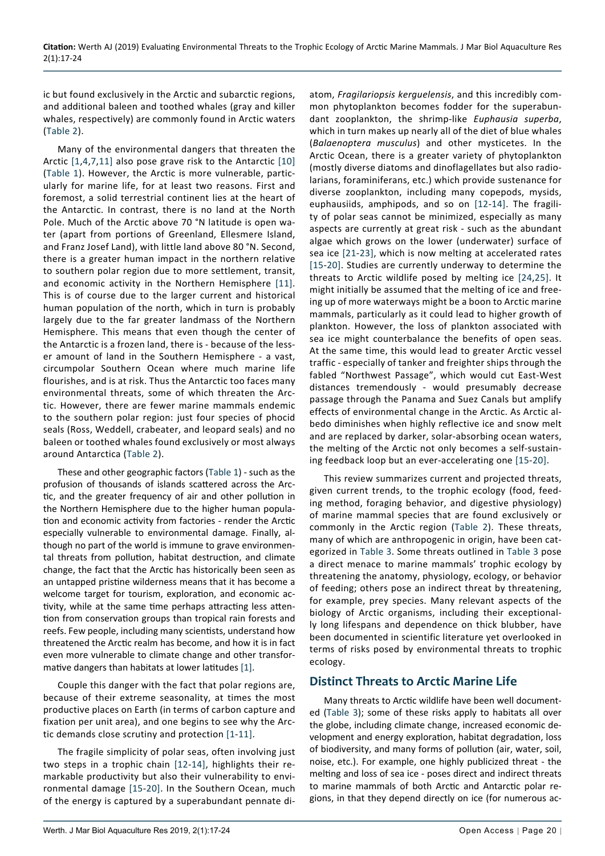ic but found exclusively in the Arctic and subarctic regions, and additional baleen and toothed whales (gray and killer whales, respectively) are commonly found in Arctic waters ([Table 2\)](#page-2-0).

Many of the environmental dangers that threaten the Arctic [\[1](#page-6-0)[,4,](#page-6-12)[7,](#page-6-13)[11\]](#page-6-3) also pose grave risk to the Antarctic [[10](#page-6-2)] ([Table 1\)](#page-1-0). However, the Arctic is more vulnerable, particularly for marine life, for at least two reasons. First and foremost, a solid terrestrial continent lies at the heart of the Antarctic. In contrast, there is no land at the North Pole. Much of the Arctic above 70 °N latitude is open water (apart from portions of Greenland, Ellesmere Island, and Franz Josef Land), with little land above 80 °N. Second, there is a greater human impact in the northern relative to southern polar region due to more settlement, transit, and economic activity in the Northern Hemisphere [\[11\]](#page-6-3). This is of course due to the larger current and historical human population of the north, which in turn is probably largely due to the far greater landmass of the Northern Hemisphere. This means that even though the center of the Antarctic is a frozen land, there is - because of the lesser amount of land in the Southern Hemisphere - a vast, circumpolar Southern Ocean where much marine life flourishes, and is at risk. Thus the Antarctic too faces many environmental threats, some of which threaten the Arctic. However, there are fewer marine mammals endemic to the southern polar region: just four species of phocid seals (Ross, Weddell, crabeater, and leopard seals) and no baleen or toothed whales found exclusively or most always around Antarctica ([Table 2\)](#page-2-0).

These and other geographic factors [\(Table 1\)](#page-1-0) - such as the profusion of thousands of islands scattered across the Arctic, and the greater frequency of air and other pollution in the Northern Hemisphere due to the higher human population and economic activity from factories - render the Arctic especially vulnerable to environmental damage. Finally, although no part of the world is immune to grave environmental threats from pollution, habitat destruction, and climate change, the fact that the Arctic has historically been seen as an untapped pristine wilderness means that it has become a welcome target for tourism, exploration, and economic activity, while at the same time perhaps attracting less attention from conservation groups than tropical rain forests and reefs. Few people, including many scientists, understand how threatened the Arctic realm has become, and how it is in fact even more vulnerable to climate change and other transformative dangers than habitats at lower latitudes [\[1](#page-6-0)].

Couple this danger with the fact that polar regions are, because of their extreme seasonality, at times the most productive places on Earth (in terms of carbon capture and fixation per unit area), and one begins to see why the Arctic demands close scrutiny and protection [[1](#page-6-0)-[11](#page-6-3)].

The fragile simplicity of polar seas, often involving just two steps in a trophic chain [[12](#page-6-5)-[14](#page-6-4)], highlights their remarkable productivity but also their vulnerability to environmental damage [\[15](#page-6-8)-[20\]](#page-6-9). In the Southern Ocean, much of the energy is captured by a superabundant pennate diatom, *Fragilariopsis kerguelensis*, and this incredibly common phytoplankton becomes fodder for the superabundant zooplankton, the shrimp-like *Euphausia superba*, which in turn makes up nearly all of the diet of blue whales (*Balaenoptera musculus*) and other mysticetes. In the Arctic Ocean, there is a greater variety of phytoplankton (mostly diverse diatoms and dinoflagellates but also radiolarians, foraminiferans, etc.) which provide sustenance for diverse zooplankton, including many copepods, mysids, euphausiids, amphipods, and so on [\[12-](#page-6-5)[14\]](#page-6-4). The fragility of polar seas cannot be minimized, especially as many aspects are currently at great risk - such as the abundant algae which grows on the lower (underwater) surface of sea ice [\[21-](#page-6-6)[23\]](#page-6-7), which is now melting at accelerated rates [[15](#page-6-8)-[20](#page-6-9)]. Studies are currently underway to determine the threats to Arctic wildlife posed by melting ice [\[24](#page-6-10)[,25\]](#page-6-11). It might initially be assumed that the melting of ice and freeing up of more waterways might be a boon to Arctic marine mammals, particularly as it could lead to higher growth of plankton. However, the loss of plankton associated with sea ice might counterbalance the benefits of open seas. At the same time, this would lead to greater Arctic vessel traffic - especially of tanker and freighter ships through the fabled "Northwest Passage", which would cut East-West distances tremendously - would presumably decrease passage through the Panama and Suez Canals but amplify effects of environmental change in the Arctic. As Arctic albedo diminishes when highly reflective ice and snow melt and are replaced by darker, solar-absorbing ocean waters, the melting of the Arctic not only becomes a self-sustaining feedback loop but an ever-accelerating one [\[15](#page-6-8)[-20\]](#page-6-9).

This review summarizes current and projected threats, given current trends, to the trophic ecology (food, feeding method, foraging behavior, and digestive physiology) of marine mammal species that are found exclusively or commonly in the Arctic region ([Table 2](#page-2-0)). These threats, many of which are anthropogenic in origin, have been categorized in [Table 3.](#page-4-0) Some threats outlined in [Table 3](#page-4-0) pose a direct menace to marine mammals' trophic ecology by threatening the anatomy, physiology, ecology, or behavior of feeding; others pose an indirect threat by threatening, for example, prey species. Many relevant aspects of the biology of Arctic organisms, including their exceptionally long lifespans and dependence on thick blubber, have been documented in scientific literature yet overlooked in terms of risks posed by environmental threats to trophic ecology.

# **Distinct Threats to Arctic Marine Life**

Many threats to Arctic wildlife have been well documented ([Table 3](#page-4-0)); some of these risks apply to habitats all over the globe, including climate change, increased economic development and energy exploration, habitat degradation, loss of biodiversity, and many forms of pollution (air, water, soil, noise, etc.). For example, one highly publicized threat - the melting and loss of sea ice - poses direct and indirect threats to marine mammals of both Arctic and Antarctic polar regions, in that they depend directly on ice (for numerous ac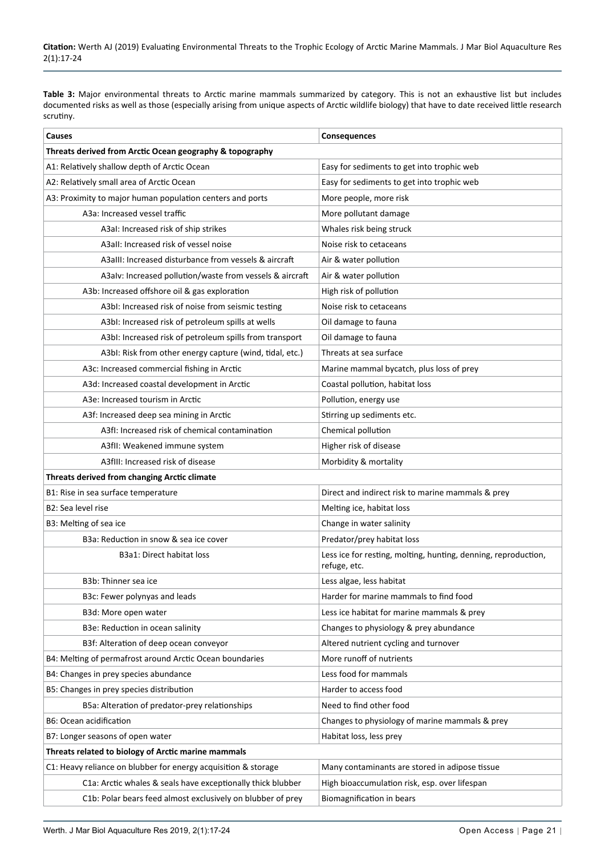<span id="page-4-0"></span>**Table 3:** Major environmental threats to Arctic marine mammals summarized by category. This is not an exhaustive list but includes documented risks as well as those (especially arising from unique aspects of Arctic wildlife biology) that have to date received little research scrutiny.

| Causes                                                         | Consequences                                                                   |  |  |
|----------------------------------------------------------------|--------------------------------------------------------------------------------|--|--|
| Threats derived from Arctic Ocean geography & topography       |                                                                                |  |  |
| A1: Relatively shallow depth of Arctic Ocean                   | Easy for sediments to get into trophic web                                     |  |  |
| A2: Relatively small area of Arctic Ocean                      | Easy for sediments to get into trophic web                                     |  |  |
| A3: Proximity to major human population centers and ports      | More people, more risk                                                         |  |  |
| A3a: Increased vessel traffic                                  | More pollutant damage                                                          |  |  |
| A3al: Increased risk of ship strikes                           | Whales risk being struck                                                       |  |  |
| A3aII: Increased risk of vessel noise                          | Noise risk to cetaceans                                                        |  |  |
| A3aIII: Increased disturbance from vessels & aircraft          | Air & water pollution                                                          |  |  |
| A3alv: Increased pollution/waste from vessels & aircraft       | Air & water pollution                                                          |  |  |
| A3b: Increased offshore oil & gas exploration                  | High risk of pollution                                                         |  |  |
| A3bI: Increased risk of noise from seismic testing             | Noise risk to cetaceans                                                        |  |  |
| A3bI: Increased risk of petroleum spills at wells              | Oil damage to fauna                                                            |  |  |
| A3bI: Increased risk of petroleum spills from transport        | Oil damage to fauna                                                            |  |  |
| A3bI: Risk from other energy capture (wind, tidal, etc.)       | Threats at sea surface                                                         |  |  |
| A3c: Increased commercial fishing in Arctic                    | Marine mammal bycatch, plus loss of prey                                       |  |  |
| A3d: Increased coastal development in Arctic                   | Coastal pollution, habitat loss                                                |  |  |
| A3e: Increased tourism in Arctic                               | Pollution, energy use                                                          |  |  |
| A3f: Increased deep sea mining in Arctic                       | Stirring up sediments etc.                                                     |  |  |
| A3fI: Increased risk of chemical contamination                 | Chemical pollution                                                             |  |  |
| A3fII: Weakened immune system                                  | Higher risk of disease                                                         |  |  |
| A3fIII: Increased risk of disease                              | Morbidity & mortality                                                          |  |  |
| Threats derived from changing Arctic climate                   |                                                                                |  |  |
| B1: Rise in sea surface temperature                            | Direct and indirect risk to marine mammals & prey                              |  |  |
| B2: Sea level rise                                             | Melting ice, habitat loss                                                      |  |  |
| B3: Melting of sea ice                                         | Change in water salinity                                                       |  |  |
| B3a: Reduction in snow & sea ice cover                         | Predator/prey habitat loss                                                     |  |  |
| B3a1: Direct habitat loss                                      | Less ice for resting, molting, hunting, denning, reproduction,<br>refuge, etc. |  |  |
| B3b: Thinner sea ice                                           | Less algae, less habitat                                                       |  |  |
| B3c: Fewer polynyas and leads                                  | Harder for marine mammals to find food                                         |  |  |
| B3d: More open water                                           | Less ice habitat for marine mammals & prey                                     |  |  |
| B3e: Reduction in ocean salinity                               | Changes to physiology & prey abundance                                         |  |  |
| B3f: Alteration of deep ocean conveyor                         | Altered nutrient cycling and turnover                                          |  |  |
| B4: Melting of permafrost around Arctic Ocean boundaries       | More runoff of nutrients                                                       |  |  |
| B4: Changes in prey species abundance                          | Less food for mammals                                                          |  |  |
| B5: Changes in prey species distribution                       | Harder to access food                                                          |  |  |
| B5a: Alteration of predator-prey relationships                 | Need to find other food                                                        |  |  |
| B6: Ocean acidification                                        | Changes to physiology of marine mammals & prey                                 |  |  |
| B7: Longer seasons of open water                               | Habitat loss, less prey                                                        |  |  |
| Threats related to biology of Arctic marine mammals            |                                                                                |  |  |
| C1: Heavy reliance on blubber for energy acquisition & storage | Many contaminants are stored in adipose tissue                                 |  |  |
| C1a: Arctic whales & seals have exceptionally thick blubber    | High bioaccumulation risk, esp. over lifespan                                  |  |  |
| C1b: Polar bears feed almost exclusively on blubber of prey    | Biomagnification in bears                                                      |  |  |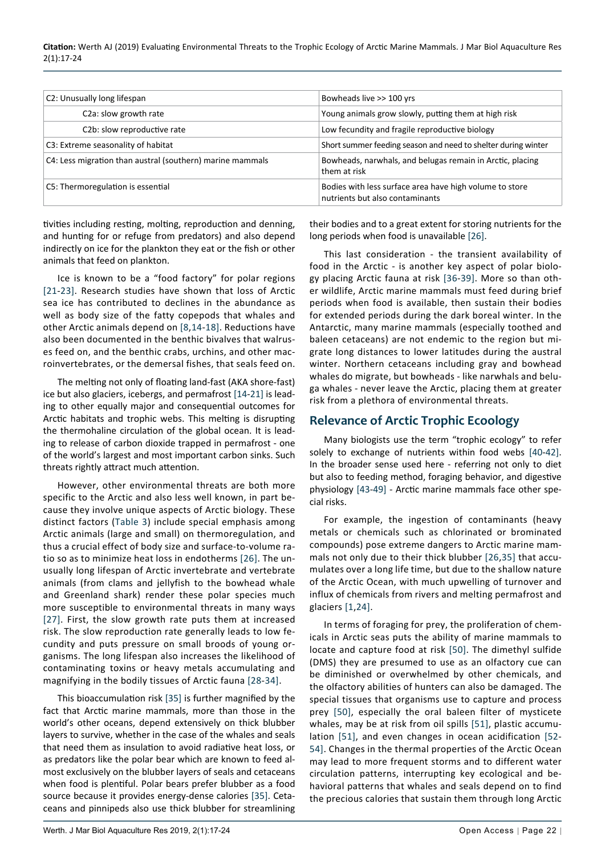**Citation:** Werth AJ (2019) Evaluating Environmental Threats to the Trophic Ecology of Arctic Marine Mammals. J Mar Biol Aquaculture Res 2(1):17-24

| C2: Unusually long lifespan                               | Bowheads live >> 100 yrs                                                                   |
|-----------------------------------------------------------|--------------------------------------------------------------------------------------------|
| C <sub>2</sub> a: slow growth rate                        | Young animals grow slowly, putting them at high risk                                       |
| C2b: slow reproductive rate                               | Low fecundity and fragile reproductive biology                                             |
| C3: Extreme seasonality of habitat                        | Short summer feeding season and need to shelter during winter                              |
| C4: Less migration than austral (southern) marine mammals | Bowheads, narwhals, and belugas remain in Arctic, placing<br>them at risk                  |
| C5: Thermoregulation is essential                         | Bodies with less surface area have high volume to store<br>nutrients but also contaminants |

tivities including resting, molting, reproduction and denning, and hunting for or refuge from predators) and also depend indirectly on ice for the plankton they eat or the fish or other animals that feed on plankton.

Ice is known to be a "food factory" for polar regions [[21](#page-6-6)-[23](#page-6-7)]. Research studies have shown that loss of Arctic sea ice has contributed to declines in the abundance as well as body size of the fatty copepods that whales and other Arctic animals depend on [[8](#page-6-15)[,14](#page-6-4)-[18\]](#page-6-16). Reductions have also been documented in the benthic bivalves that walruses feed on, and the benthic crabs, urchins, and other macroinvertebrates, or the demersal fishes, that seals feed on.

The melting not only of floating land-fast (AKA shore-fast) ice but also glaciers, icebergs, and permafrost [\[14](#page-6-4)[-21](#page-6-6)] is leading to other equally major and consequential outcomes for Arctic habitats and trophic webs. This melting is disrupting the thermohaline circulation of the global ocean. It is leading to release of carbon dioxide trapped in permafrost - one of the world's largest and most important carbon sinks. Such threats rightly attract much attention.

However, other environmental threats are both more specific to the Arctic and also less well known, in part because they involve unique aspects of Arctic biology. These distinct factors [\(Table 3](#page-4-0)) include special emphasis among Arctic animals (large and small) on thermoregulation, and thus a crucial effect of body size and surface-to-volume ratio so as to minimize heat loss in endotherms [[26](#page-6-14)]. The unusually long lifespan of Arctic invertebrate and vertebrate animals (from clams and jellyfish to the bowhead whale and Greenland shark) render these polar species much more susceptible to environmental threats in many ways [[27](#page-6-17)]. First, the slow growth rate puts them at increased risk. The slow reproduction rate generally leads to low fecundity and puts pressure on small broods of young organisms. The long lifespan also increases the likelihood of contaminating toxins or heavy metals accumulating and magnifying in the bodily tissues of Arctic fauna [[28](#page-7-11)-[34](#page-7-12)].

This bioaccumulation risk [[35\]](#page-7-6) is further magnified by the fact that Arctic marine mammals, more than those in the world's other oceans, depend extensively on thick blubber layers to survive, whether in the case of the whales and seals that need them as insulation to avoid radiative heat loss, or as predators like the polar bear which are known to feed almost exclusively on the blubber layers of seals and cetaceans when food is plentiful. Polar bears prefer blubber as a food source because it provides energy-dense calories [\[35\]](#page-7-6). Cetaceans and pinnipeds also use thick blubber for streamlining their bodies and to a great extent for storing nutrients for the long periods when food is unavailable [[26\]](#page-6-14).

This last consideration - the transient availability of food in the Arctic - is another key aspect of polar biology placing Arctic fauna at risk [[36](#page-7-0)-[39](#page-7-1)]. More so than other wildlife, Arctic marine mammals must feed during brief periods when food is available, then sustain their bodies for extended periods during the dark boreal winter. In the Antarctic, many marine mammals (especially toothed and baleen cetaceans) are not endemic to the region but migrate long distances to lower latitudes during the austral winter. Northern cetaceans including gray and bowhead whales do migrate, but bowheads - like narwhals and beluga whales - never leave the Arctic, placing them at greater risk from a plethora of environmental threats.

# **Relevance of Arctic Trophic Ecoology**

Many biologists use the term "trophic ecology" to refer solely to exchange of nutrients within food webs [[40](#page-7-2)-[42](#page-7-3)]. In the broader sense used here - referring not only to diet but also to feeding method, foraging behavior, and digestive physiology [\[43](#page-7-4)-[49](#page-7-5)] - Arctic marine mammals face other special risks.

For example, the ingestion of contaminants (heavy metals or chemicals such as chlorinated or brominated compounds) pose extreme dangers to Arctic marine mammals not only due to their thick blubber [[26](#page-6-14),[35](#page-7-6)] that accumulates over a long life time, but due to the shallow nature of the Arctic Ocean, with much upwelling of turnover and influx of chemicals from rivers and melting permafrost and glaciers [[1](#page-6-0),[24](#page-6-10)].

In terms of foraging for prey, the proliferation of chemicals in Arctic seas puts the ability of marine mammals to locate and capture food at risk [[50\]](#page-7-7). The dimethyl sulfide (DMS) they are presumed to use as an olfactory cue can be diminished or overwhelmed by other chemicals, and the olfactory abilities of hunters can also be damaged. The special tissues that organisms use to capture and process prey [[50](#page-7-7)], especially the oral baleen filter of mysticete whales, may be at risk from oil spills [[51\]](#page-7-8), plastic accumulation [\[51\]](#page-7-8), and even changes in ocean acidification [[52](#page-7-9)- [54](#page-7-10)]. Changes in the thermal properties of the Arctic Ocean may lead to more frequent storms and to different water circulation patterns, interrupting key ecological and behavioral patterns that whales and seals depend on to find the precious calories that sustain them through long Arctic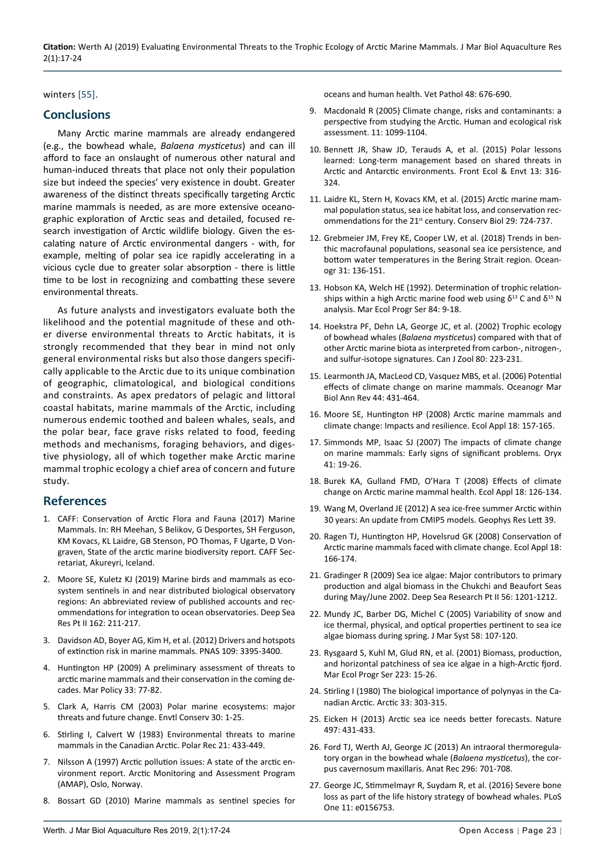**Citation:** Werth AJ (2019) Evaluating Environmental Threats to the Trophic Ecology of Arctic Marine Mammals. J Mar Biol Aquaculture Res 2(1):17-24

### winters [[55\]](#page-7-13).

# **Conclusions**

Many Arctic marine mammals are already endangered (e.g., the bowhead whale, *Balaena mysticetus*) and can ill afford to face an onslaught of numerous other natural and human-induced threats that place not only their population size but indeed the species' very existence in doubt. Greater awareness of the distinct threats specifically targeting Arctic marine mammals is needed, as are more extensive oceanographic exploration of Arctic seas and detailed, focused research investigation of Arctic wildlife biology. Given the escalating nature of Arctic environmental dangers - with, for example, melting of polar sea ice rapidly accelerating in a vicious cycle due to greater solar absorption - there is little time to be lost in recognizing and combatting these severe environmental threats.

As future analysts and investigators evaluate both the likelihood and the potential magnitude of these and other diverse environmental threats to Arctic habitats, it is strongly recommended that they bear in mind not only general environmental risks but also those dangers specifically applicable to the Arctic due to its unique combination of geographic, climatological, and biological conditions and constraints. As apex predators of pelagic and littoral coastal habitats, marine mammals of the Arctic, including numerous endemic toothed and baleen whales, seals, and the polar bear, face grave risks related to food, feeding methods and mechanisms, foraging behaviors, and digestive physiology, all of which together make Arctic marine mammal trophic ecology a chief area of concern and future study.

## **References**

- <span id="page-6-0"></span>1. [CAFF: Conservation of Arctic Flora and Fauna \(2017\) Marine](https://www.arlis.org/docs/vol1/M/987005384.pdf)  [Mammals. In: RH Meehan, S Belikov, G Desportes, SH Ferguson,](https://www.arlis.org/docs/vol1/M/987005384.pdf)  [KM Kovacs, KL Laidre, GB Stenson, PO Thomas, F Ugarte, D Von](https://www.arlis.org/docs/vol1/M/987005384.pdf)[graven, State of the arctic marine biodiversity report. CAFF Sec](https://www.arlis.org/docs/vol1/M/987005384.pdf)[retariat, Akureyri, Iceland.](https://www.arlis.org/docs/vol1/M/987005384.pdf)
- 2. [Moore SE, Kuletz KJ \(2019\) Marine birds and mammals as eco](https://www.sciencedirect.com/science/article/pii/S0967064518301966)[system sentinels in and near distributed biological observatory](https://www.sciencedirect.com/science/article/pii/S0967064518301966)  [regions: An abbreviated review of published accounts and rec](https://www.sciencedirect.com/science/article/pii/S0967064518301966)[ommendations for integration to ocean observatories. Deep Sea](https://www.sciencedirect.com/science/article/pii/S0967064518301966)  [Res Pt II 162: 211-217.](https://www.sciencedirect.com/science/article/pii/S0967064518301966)
- 3. [Davidson AD, Boyer AG, Kim H, et al. \(2012\) Drivers and hotspots](https://www.pnas.org/content/109/9/3395)  [of extinction risk in marine mammals. PNAS 109: 3395-3400.](https://www.pnas.org/content/109/9/3395)
- <span id="page-6-12"></span>4. [Huntington HP \(2009\) A preliminary assessment of threats to](https://ideas.repec.org/a/eee/marpol/v33y2009i1p77-82.html)  [arctic marine mammals and their conservation in the coming de](https://ideas.repec.org/a/eee/marpol/v33y2009i1p77-82.html)[cades. Mar Policy 33: 77-82.](https://ideas.repec.org/a/eee/marpol/v33y2009i1p77-82.html)
- 5. [Clark A, Harris CM \(2003\) Polar marine ecosystems: major](https://www.cambridge.org/core/journals/environmental-conservation/article/polar-marine-ecosystems-major-threats-and-future-change/01B8E2CE870E04748B77D4B80B6195DB)  [threats and future change. Envtl Conserv 30: 1-25.](https://www.cambridge.org/core/journals/environmental-conservation/article/polar-marine-ecosystems-major-threats-and-future-change/01B8E2CE870E04748B77D4B80B6195DB)
- 6. [Stirling I, Calvert W \(1983\) Environmental threats to marine](https://www.cambridge.org/core/journals/polar-record/article/evironmental-threats-to-marine-mammals-in-the-canadian-arctic/473507836FADEEFBF9F76B27E47B1856)  [mammals in the Canadian Arctic. Polar Rec 21: 433-449.](https://www.cambridge.org/core/journals/polar-record/article/evironmental-threats-to-marine-mammals-in-the-canadian-arctic/473507836FADEEFBF9F76B27E47B1856)
- <span id="page-6-13"></span>7. [Nilsson A \(1997\) Arctic pollution issues: A state of the arctic en](https://www.amap.no/documents/download/79/inline)[vironment report. Arctic Monitoring and Assessment Program](https://www.amap.no/documents/download/79/inline)  [\(AMAP\), Oslo, Norway.](https://www.amap.no/documents/download/79/inline)
- <span id="page-6-15"></span>8. [Bossart GD \(2010\) Marine mammals as sentinel species for](https://www.ncbi.nlm.nih.gov/pubmed/21160025)

<span id="page-6-1"></span>[oceans and human health. Vet Pathol 48: 676-690.](https://www.ncbi.nlm.nih.gov/pubmed/21160025)

- 9. Macdonald R (2005) Climate change, risks and contaminants: a perspective from studying the Arctic. Human and ecological risk assessment. 11: 1099-1104.
- <span id="page-6-2"></span>10. [Bennett JR, Shaw JD, Terauds A, et al. \(2015\) Polar lessons](https://espace.library.uq.edu.au/data/UQ_368277/UQ368277_OA.pdf?Expires=1569390873&Key-Pair-Id=APKAJKNBJ4MJBJNC6NLQ&Signature=XLWu4mJ~JgRvimIAo4m~2At0RQVvo196LiplRH1oKaXEEKX1ShqJPULsgP-sKzcWJjReKY0zAnf68BVXrsIFyM0s2OXYIzQhbi686ZR0lGBN5YB4qd~Bn~bXaXaIo6Sdyn)  [learned: Long-term management based on shared threats in](https://espace.library.uq.edu.au/data/UQ_368277/UQ368277_OA.pdf?Expires=1569390873&Key-Pair-Id=APKAJKNBJ4MJBJNC6NLQ&Signature=XLWu4mJ~JgRvimIAo4m~2At0RQVvo196LiplRH1oKaXEEKX1ShqJPULsgP-sKzcWJjReKY0zAnf68BVXrsIFyM0s2OXYIzQhbi686ZR0lGBN5YB4qd~Bn~bXaXaIo6Sdyn)  [Arctic and Antarctic environments. Front Ecol & Envt 13: 316-](https://espace.library.uq.edu.au/data/UQ_368277/UQ368277_OA.pdf?Expires=1569390873&Key-Pair-Id=APKAJKNBJ4MJBJNC6NLQ&Signature=XLWu4mJ~JgRvimIAo4m~2At0RQVvo196LiplRH1oKaXEEKX1ShqJPULsgP-sKzcWJjReKY0zAnf68BVXrsIFyM0s2OXYIzQhbi686ZR0lGBN5YB4qd~Bn~bXaXaIo6Sdyn) [324.](https://espace.library.uq.edu.au/data/UQ_368277/UQ368277_OA.pdf?Expires=1569390873&Key-Pair-Id=APKAJKNBJ4MJBJNC6NLQ&Signature=XLWu4mJ~JgRvimIAo4m~2At0RQVvo196LiplRH1oKaXEEKX1ShqJPULsgP-sKzcWJjReKY0zAnf68BVXrsIFyM0s2OXYIzQhbi686ZR0lGBN5YB4qd~Bn~bXaXaIo6Sdyn)
- <span id="page-6-3"></span>11. [Laidre KL, Stern H, Kovacs KM, et al. \(2015\) Arctic marine mam](https://www.ncbi.nlm.nih.gov/pubmed/25783745)[mal population status, sea ice habitat loss, and conservation rec](https://www.ncbi.nlm.nih.gov/pubmed/25783745)ommendations for the 21<sup>st</sup> [century. Conserv Biol 29: 724-737.](https://www.ncbi.nlm.nih.gov/pubmed/25783745)
- <span id="page-6-5"></span>12. [Grebmeier JM, Frey KE, Cooper LW, et al. \(2018\) Trends in ben](https://tos.org/oceanography/article/trends-in-benthic-macrofaunal-populations-seasonal-sea-ice-persistence-and)[thic macrofaunal populations, seasonal sea ice persistence, and](https://tos.org/oceanography/article/trends-in-benthic-macrofaunal-populations-seasonal-sea-ice-persistence-and)  [bottom water temperatures in the Bering Strait region. Ocean](https://tos.org/oceanography/article/trends-in-benthic-macrofaunal-populations-seasonal-sea-ice-persistence-and)[ogr 31: 136-151.](https://tos.org/oceanography/article/trends-in-benthic-macrofaunal-populations-seasonal-sea-ice-persistence-and)
- 13. [Hobson KA, Welch HE \(1992\). Determination of trophic relation](https://www.int-res.com/articles/meps/84/m084p009.pdf)ships within a high Arctic marine food web using  $δ$ <sup>13</sup> C and  $δ$ <sup>15</sup> N [analysis. Mar Ecol Progr Ser 84: 9-18.](https://www.int-res.com/articles/meps/84/m084p009.pdf)
- <span id="page-6-4"></span>14. [Hoekstra PF, Dehn LA, George JC, et al. \(2002\) Trophic ecology](http://nativescience.org/assets/documents/nutrition and food/bowhead isotope paper cjz (2002)2.pdf)  of bowhead whales (*Balaena mysticetus*[\) compared with that of](http://nativescience.org/assets/documents/nutrition and food/bowhead isotope paper cjz (2002)2.pdf)  [other Arctic marine biota as interpreted from carbon-, nitrogen-,](http://nativescience.org/assets/documents/nutrition and food/bowhead isotope paper cjz (2002)2.pdf)  [and sulfur-isotope signatures. Can J Zool 80: 223-231.](http://nativescience.org/assets/documents/nutrition and food/bowhead isotope paper cjz (2002)2.pdf)
- <span id="page-6-8"></span>15. [Learmonth JA, MacLeod CD, Vasquez MBS, et al. \(2006\) Potential](https://abdn.pure.elsevier.com/en/publications/potential-effects-of-climate-change-on-marine-mammals)  [effects of climate change on marine mammals. Oceanogr Mar](https://abdn.pure.elsevier.com/en/publications/potential-effects-of-climate-change-on-marine-mammals)  [Biol Ann Rev 44: 431-464.](https://abdn.pure.elsevier.com/en/publications/potential-effects-of-climate-change-on-marine-mammals)
- 16. [Moore SE, Huntington HP \(2008\) Arctic marine mammals and](https://esajournals.onlinelibrary.wiley.com/doi/full/10.1890/06-0571.1)  [climate change: Impacts and resilience. Ecol Appl 18: 157-165.](https://esajournals.onlinelibrary.wiley.com/doi/full/10.1890/06-0571.1)
- 17. [Simmonds MP, Isaac SJ \(2007\) The impacts of climate change](https://www.cambridge.org/core/journals/oryx/article/impacts-of-climate-change-on-marine-mammals-early-signs-of-significant-problems/B105EB0556C8CD009845D3350C7E7B8A)  [on marine mammals: Early signs of significant problems. Oryx](https://www.cambridge.org/core/journals/oryx/article/impacts-of-climate-change-on-marine-mammals-early-signs-of-significant-problems/B105EB0556C8CD009845D3350C7E7B8A)  [41: 19-26.](https://www.cambridge.org/core/journals/oryx/article/impacts-of-climate-change-on-marine-mammals-early-signs-of-significant-problems/B105EB0556C8CD009845D3350C7E7B8A)
- <span id="page-6-16"></span>18. [Burek KA, Gulland FMD, O'Hara T \(2008\) Effects of climate](https://www.ncbi.nlm.nih.gov/pubmed/18494366)  [change on Arctic marine mammal health. Ecol Appl 18: 126-134.](https://www.ncbi.nlm.nih.gov/pubmed/18494366)
- 19. [Wang M, Overland JE \(2012\) A sea ice-free summer Arctic within](https://agupubs.onlinelibrary.wiley.com/doi/pdf/10.1029/2012GL052868)  [30 years: An update from CMIP5 models. Geophys Res Lett 39.](https://agupubs.onlinelibrary.wiley.com/doi/pdf/10.1029/2012GL052868)
- <span id="page-6-9"></span>20. [Ragen TJ, Huntington HP, Hovelsrud GK \(2008\) Conservation of](https://www.ncbi.nlm.nih.gov/pubmed/18494370)  [Arctic marine mammals faced with climate change. Ecol Appl 18:](https://www.ncbi.nlm.nih.gov/pubmed/18494370)  [166-174.](https://www.ncbi.nlm.nih.gov/pubmed/18494370)
- <span id="page-6-6"></span>21. Gradinger R (2009) Sea ice algae: Major contributors to primary production and algal biomass in the Chukchi and Beaufort Seas during May/June 2002. Deep Sea Research Pt II 56: 1201-1212.
- 22. [Mundy JC, Barber DG, Michel C \(2005\) Variability of snow and](https://www.semanticscholar.org/paper/Variability-of-snow-and-ice-thermal%2C-physical-and-Mundy-Barber/4fd75623ad26e8493b85d63371990555eec9b155)  [ice thermal, physical, and optical properties pertinent to sea ice](https://www.semanticscholar.org/paper/Variability-of-snow-and-ice-thermal%2C-physical-and-Mundy-Barber/4fd75623ad26e8493b85d63371990555eec9b155)  [algae biomass during spring. J Mar Syst 58: 107-120.](https://www.semanticscholar.org/paper/Variability-of-snow-and-ice-thermal%2C-physical-and-Mundy-Barber/4fd75623ad26e8493b85d63371990555eec9b155)
- <span id="page-6-7"></span>23. [Rysgaard S, Kuhl M, Glud RN, et al. \(2001\) Biomass, production,](https://www.int-res.com/abstracts/meps/v223/p15-26/)  [and horizontal patchiness of sea ice algae in a high-Arctic fjord.](https://www.int-res.com/abstracts/meps/v223/p15-26/)  [Mar Ecol Progr Ser 223: 15-26.](https://www.int-res.com/abstracts/meps/v223/p15-26/)
- <span id="page-6-10"></span>24. [Stirling I \(1980\) The biological importance of polynyas in the Ca](http://pubs.aina.ucalgary.ca/arctic/Arctic33-2-303.pdf)[nadian Arctic. Arctic 33: 303-315.](http://pubs.aina.ucalgary.ca/arctic/Arctic33-2-303.pdf)
- <span id="page-6-11"></span>25. [Eicken H \(2013\) Arctic sea ice needs better forecasts. Nature](https://www.nature.com/articles/497431a)  [497: 431-433.](https://www.nature.com/articles/497431a)
- <span id="page-6-14"></span>26. [Ford TJ, Werth AJ, George JC \(2013\) An intraoral thermoregula](https://www.ncbi.nlm.nih.gov/pubmed/23450839)[tory organ in the bowhead whale \(](https://www.ncbi.nlm.nih.gov/pubmed/23450839)*Balaena mysticetus*), the cor[pus cavernosum maxillaris. Anat Rec 296: 701-708.](https://www.ncbi.nlm.nih.gov/pubmed/23450839)
- <span id="page-6-17"></span>27. [George JC, Stimmelmayr R, Suydam R, et al. \(2016\) Severe bone](https://journals.plos.org/plosone/article?id=10.1371/journal.pone.0156753)  [loss as part of the life history strategy of bowhead whales. PLoS](https://journals.plos.org/plosone/article?id=10.1371/journal.pone.0156753)  [One 11: e0156753.](https://journals.plos.org/plosone/article?id=10.1371/journal.pone.0156753)